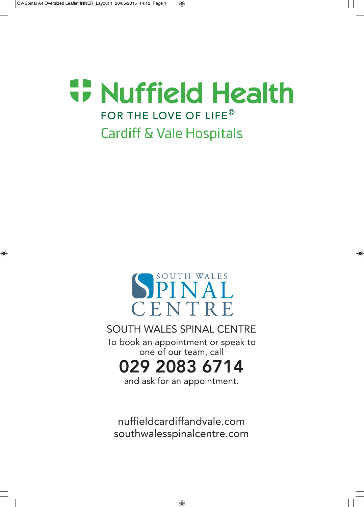# **T. Nuffield Health** FOR THE LOVE OF LIFE® **Cardiff & Vale Hospitals**



## SOUTH WALES SPINAL CENTRE

To book an appointment or speak to one of our team, call

029 2083 6714

and ask for an appointment.

nuffieldcardiffandvale.com southwalesspinalcentre.com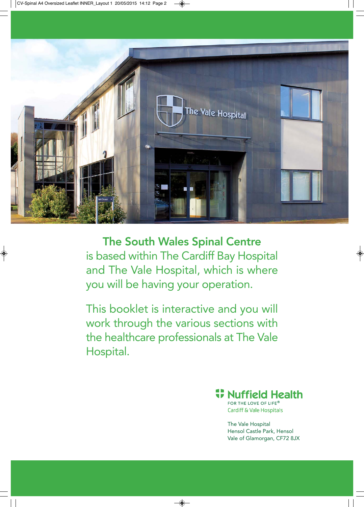

The South Wales Spinal Centre is based within The Cardiff Bay Hospital and The Vale Hospital, which is where you will be having your operation.

This booklet is interactive and you will work through the various sections with the healthcare professionals at The Vale Hospital.

**## Nuffield Health** 

FOR THE LOVE OF LIFE® **Cardiff & Vale Hospitals** 

The Vale Hospital Hensol Castle Park, Hensol Vale of Glamorgan, CF72 8JX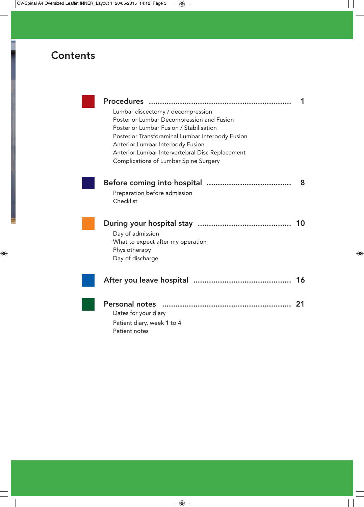## **Contents**

| <b>Procedures</b><br>                            |    |
|--------------------------------------------------|----|
| Lumbar discectomy / decompression                |    |
| Posterior Lumbar Decompression and Fusion        |    |
| Posterior Lumbar Fusion / Stabilisation          |    |
| Posterior Transforaminal Lumbar Interbody Fusion |    |
| Anterior Lumbar Interbody Fusion                 |    |
| Anterior Lumbar Intervertebral Disc Replacement  |    |
| Complications of Lumbar Spine Surgery            |    |
|                                                  | 8  |
| Preparation before admission                     |    |
| Checklist                                        |    |
|                                                  |    |
|                                                  | 10 |
| Day of admission                                 |    |
| What to expect after my operation                |    |
| Physiotherapy                                    |    |
| Day of discharge                                 |    |
|                                                  | 16 |
|                                                  |    |
| <b>Personal notes</b>                            | 21 |
| Dates for your diary                             |    |
| Patient diary, week 1 to 4                       |    |
| Patient notes                                    |    |
|                                                  |    |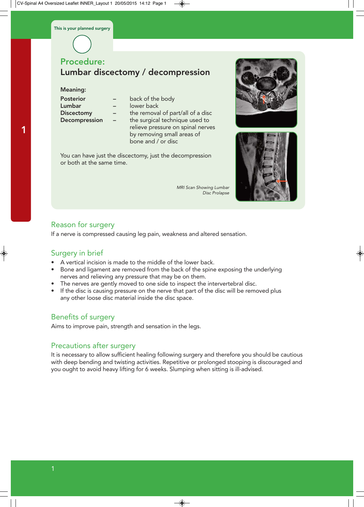#### Meaning:

1

| <b>Posterior</b>     |  |
|----------------------|--|
| Lumbar               |  |
| <b>Discectomy</b>    |  |
| <b>Decompression</b> |  |

- back of the body
- lower back
	- the removal of part/all of a disc
		- the surgical technique used to relieve pressure on spinal nerves by removing small areas of bone and / or disc

You can have just the discectomy, just the decompression or both at the same time.

> MRI Scan Showing Lumbar Disc Prolapse





## Reason for surgery

If a nerve is compressed causing leg pain, weakness and altered sensation.

### Surgery in brief

- A vertical incision is made to the middle of the lower back.
- Bone and ligament are removed from the back of the spine exposing the underlying nerves and relieving any pressure that may be on them.
- The nerves are gently moved to one side to inspect the intervertebral disc.
- If the disc is causing pressure on the nerve that part of the disc will be removed plus any other loose disc material inside the disc space.

## Benefits of surgery

Aims to improve pain, strength and sensation in the legs.

## Precautions after surgery

It is necessary to allow sufficient healing following surgery and therefore you should be cautious with deep bending and twisting activities. Repetitive or prolonged stooping is discouraged and you ought to avoid heavy lifting for 6 weeks. Slumping when sitting is ill-advised.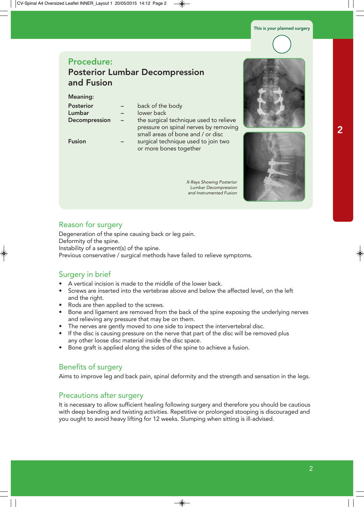## Procedure: Posterior Lumbar Decompression and Fusion

#### Meaning:

| <b>Posterior</b><br>Lumbar<br>Decompression | back of the body<br>lower back<br>the surgical technique used to relieve<br>pressure on spinal nerves by removing<br>small areas of bone and / or disc |
|---------------------------------------------|--------------------------------------------------------------------------------------------------------------------------------------------------------|
| <b>Fusion</b>                               | surgical technique used to join two<br>or more bones together                                                                                          |

X-Rays Showing Posterior Lumbar Decompression and Instrumented Fusion





#### Reason for surgery

Degeneration of the spine causing back or leg pain. Deformity of the spine. Instability of a segment(s) of the spine. Previous conservative / surgical methods have failed to relieve symptoms.

### Surgery in brief

- A vertical incision is made to the middle of the lower back.
- Screws are inserted into the vertebrae above and below the affected level, on the left and the right.
- Rods are then applied to the screws.
- Bone and ligament are removed from the back of the spine exposing the underlying nerves and relieving any pressure that may be on them.
- The nerves are gently moved to one side to inspect the intervertebral disc.
- If the disc is causing pressure on the nerve that part of the disc will be removed plus any other loose disc material inside the disc space.
- Bone graft is applied along the sides of the spine to achieve a fusion.

## Benefits of surgery

Aims to improve leg and back pain, spinal deformity and the strength and sensation in the legs.

#### Precautions after surgery

It is necessary to allow sufficient healing following surgery and therefore you should be cautious with deep bending and twisting activities. Repetitive or prolonged stooping is discouraged and you ought to avoid heavy lifting for 12 weeks. Slumping when sitting is ill-advised.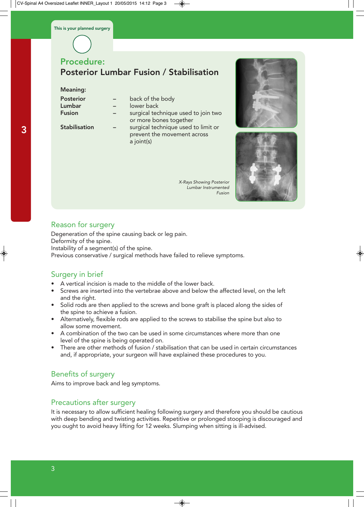## Procedure: Posterior Lumbar Fusion / Stabilisation

#### Meaning:

| back of the body                    |
|-------------------------------------|
| lower back                          |
| surgical technique used to join two |
| or more bones together              |
| surgical technique used to limit or |
| prevent the movement across         |
| a joint(s)                          |
|                                     |

X-Rays Showing Posterior Lumbar Instrumented Fusion





## Reason for surgery

Degeneration of the spine causing back or leg pain. Deformity of the spine. Instability of a segment(s) of the spine. Previous conservative / surgical methods have failed to relieve symptoms.

## Surgery in brief

- A vertical incision is made to the middle of the lower back.
- Screws are inserted into the vertebrae above and below the affected level, on the left and the right.
- Solid rods are then applied to the screws and bone graft is placed along the sides of the spine to achieve a fusion.
- Alternatively, flexible rods are applied to the screws to stabilise the spine but also to allow some movement.
- A combination of the two can be used in some circumstances where more than one level of the spine is being operated on.
- There are other methods of fusion / stabilisation that can be used in certain circumstances and, if appropriate, your surgeon will have explained these procedures to you.

## Benefits of surgery

Aims to improve back and leg symptoms.

## Precautions after surgery

It is necessary to allow sufficient healing following surgery and therefore you should be cautious with deep bending and twisting activities. Repetitive or prolonged stooping is discouraged and you ought to avoid heavy lifting for 12 weeks. Slumping when sitting is ill-advised.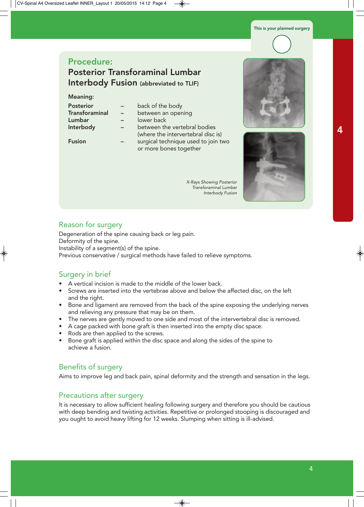## Procedure: Posterior Transforaminal Lumbar Interbody Fusion (abbreviated to TLIF)

#### Meaning:

| <b>Posterior</b><br><b>Transforaminal</b><br>Lumbar<br>Interbody | back of the body<br>between an opening<br>lower back<br>between the vertebral bodies<br>(where the intervertebral disc is) |
|------------------------------------------------------------------|----------------------------------------------------------------------------------------------------------------------------|
| <b>Fusion</b>                                                    | surgical technique used to join two<br>or more bones together                                                              |

X-Rays Showing Posterior Transforaminal Lumbar Interbody Fusion





#### Reason for surgery

Degeneration of the spine causing back or leg pain. Deformity of the spine. Instability of a segment(s) of the spine. Previous conservative / surgical methods have failed to relieve symptoms.

#### Surgery in brief

- A vertical incision is made to the middle of the lower back.
- Screws are inserted into the vertebrae above and below the affected disc, on the left and the right.
- Bone and ligament are removed from the back of the spine exposing the underlying nerves and relieving any pressure that may be on them.
- The nerves are gently moved to one side and most of the intervertebral disc is removed.
- A cage packed with bone graft is then inserted into the empty disc space.
- Rods are then applied to the screws.
- Bone graft is applied within the disc space and along the sides of the spine to achieve a fusion.

### Benefits of surgery

Aims to improve leg and back pain, spinal deformity and the strength and sensation in the legs.

#### Precautions after surgery

It is necessary to allow sufficient healing following surgery and therefore you should be cautious with deep bending and twisting activities. Repetitive or prolonged stooping is discouraged and you ought to avoid heavy lifting for 12 weeks. Slumping when sitting is ill-advised.

4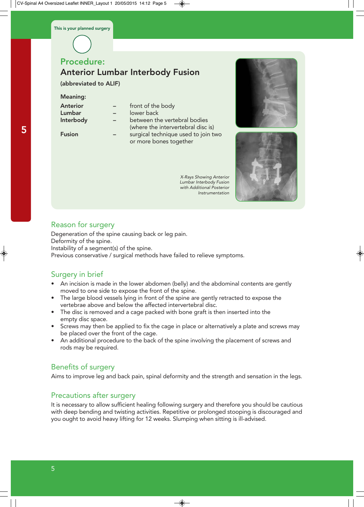## Procedure:

## Anterior Lumbar Interbody Fusion

(abbreviated to ALIF)

#### Meaning:

| Anterior  |  |
|-----------|--|
| Lumbar    |  |
| Interbody |  |
|           |  |

| Anterior | front of the body |
|----------|-------------------|
|----------|-------------------|

- lower back
- 

between the vertebral bodies (where the intervertebral disc is)

Fusion – surgical technique used to join two or more bones together

> X-Rays Showing Anterior Lumbar Interbody Fusion with Additional Posterior Instrumentation





### Reason for surgery

Degeneration of the spine causing back or leg pain. Deformity of the spine. Instability of a segment(s) of the spine. Previous conservative / surgical methods have failed to relieve symptoms.

## Surgery in brief

- An incision is made in the lower abdomen (belly) and the abdominal contents are gently moved to one side to expose the front of the spine.
- The large blood vessels lying in front of the spine are gently retracted to expose the vertebrae above and below the affected intervertebral disc.
- The disc is removed and a cage packed with bone graft is then inserted into the empty disc space.
- Screws may then be applied to fix the cage in place or alternatively a plate and screws may be placed over the front of the cage.
- An additional procedure to the back of the spine involving the placement of screws and rods may be required.

## Benefits of surgery

Aims to improve leg and back pain, spinal deformity and the strength and sensation in the legs.

### Precautions after surgery

It is necessary to allow sufficient healing following surgery and therefore you should be cautious with deep bending and twisting activities. Repetitive or prolonged stooping is discouraged and you ought to avoid heavy lifting for 12 weeks. Slumping when sitting is ill-advised.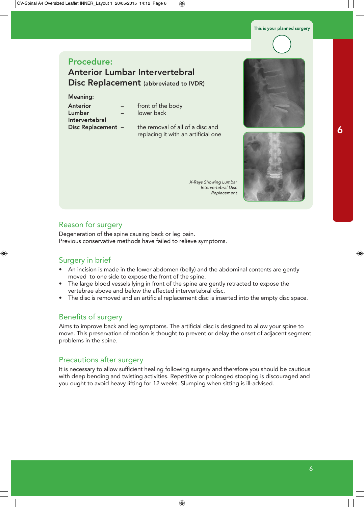## Procedure: Anterior Lumbar Intervertebral Disc Replacement (abbreviated to IVDR)

#### Meaning:

| <b>Anterior</b>         |
|-------------------------|
| Lumbar                  |
| Intervertebral          |
| <b>Disc Replacement</b> |

- front of the body lower back
- the removal of all of a disc and replacing it with an artificial one

X-Rays Showing Lumbar Intervertebral Disc Replacement



#### Reason for surgery

Degeneration of the spine causing back or leg pain. Previous conservative methods have failed to relieve symptoms.

### Surgery in brief

- An incision is made in the lower abdomen (belly) and the abdominal contents are gently moved to one side to expose the front of the spine.
- The large blood vessels lying in front of the spine are gently retracted to expose the vertebrae above and below the affected intervertebral disc.
- The disc is removed and an artificial replacement disc is inserted into the empty disc space.

### Benefits of surgery

Aims to improve back and leg symptoms. The artificial disc is designed to allow your spine to move. This preservation of motion is thought to prevent or delay the onset of adjacent segment problems in the spine.

#### Precautions after surgery

It is necessary to allow sufficient healing following surgery and therefore you should be cautious with deep bending and twisting activities. Repetitive or prolonged stooping is discouraged and you ought to avoid heavy lifting for 12 weeks. Slumping when sitting is ill-advised.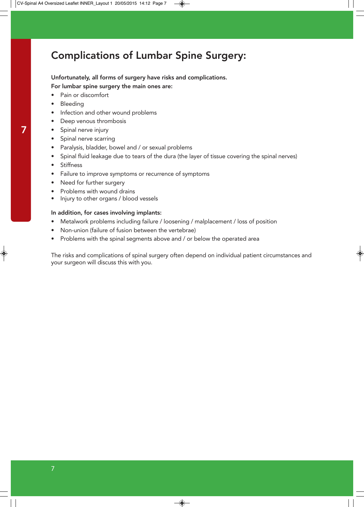## Complications of Lumbar Spine Surgery:

Unfortunately, all forms of surgery have risks and complications. For lumbar spine surgery the main ones are:

- Pain or discomfort
- **Bleeding**
- Infection and other wound problems
- Deep venous thrombosis
- Spinal nerve injury
- Spinal nerve scarring
- Paralysis, bladder, bowel and / or sexual problems
- Spinal fluid leakage due to tears of the dura (the layer of tissue covering the spinal nerves)
- **Stiffness**
- Failure to improve symptoms or recurrence of symptoms
- Need for further surgery
- Problems with wound drains
- Injury to other organs / blood vessels

#### In addition, for cases involving implants:

- Metalwork problems including failure / loosening / malplacement / loss of position
- Non-union (failure of fusion between the vertebrae)
- Problems with the spinal segments above and / or below the operated area

The risks and complications of spinal surgery often depend on individual patient circumstances and your surgeon will discuss this with you.

7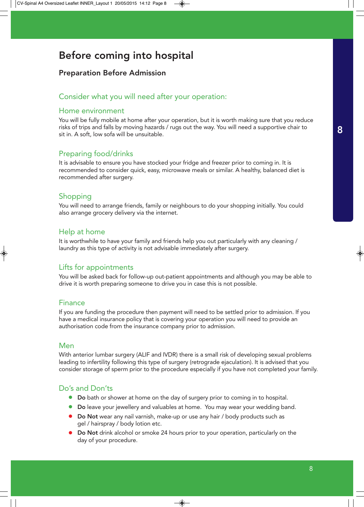## Before coming into hospital

## Preparation Before Admission

### Consider what you will need after your operation:

### Home environment

You will be fully mobile at home after your operation, but it is worth making sure that you reduce risks of trips and falls by moving hazards / rugs out the way. You will need a supportive chair to sit in. A soft, low sofa will be unsuitable.

## Preparing food/drinks

It is advisable to ensure you have stocked your fridge and freezer prior to coming in. It is recommended to consider quick, easy, microwave meals or similar. A healthy, balanced diet is recommended after surgery.

## Shopping

You will need to arrange friends, family or neighbours to do your shopping initially. You could also arrange grocery delivery via the internet.

### Help at home

It is worthwhile to have your family and friends help you out particularly with any cleaning / laundry as this type of activity is not advisable immediately after surgery.

## Lifts for appointments

You will be asked back for follow-up out-patient appointments and although you may be able to drive it is worth preparing someone to drive you in case this is not possible.

### Finance

If you are funding the procedure then payment will need to be settled prior to admission. If you have a medical insurance policy that is covering your operation you will need to provide an authorisation code from the insurance company prior to admission.

### Men

With anterior lumbar surgery (ALIF and IVDR) there is a small risk of developing sexual problems leading to infertility following this type of surgery (retrograde ejaculation). It is advised that you consider storage of sperm prior to the procedure especially if you have not completed your family.

### Do's and Don'ts

- Do bath or shower at home on the day of surgery prior to coming in to hospital.
- Do leave your jewellery and valuables at home. You may wear your wedding band.
- Do Not wear any nail varnish, make-up or use any hair / body products such as gel / hairspray / body lotion etc.
- Do Not drink alcohol or smoke 24 hours prior to your operation, particularly on the day of your procedure.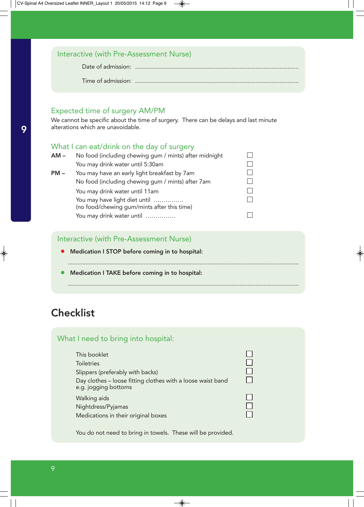| Interactive (with Pre-Assessment Nurse) |  |
|-----------------------------------------|--|
|                                         |  |
|                                         |  |

## Expected time of surgery AM/PM

We cannot be specific about the time of surgery. There can be delays and last minute alterations which are unavoidable.

## What I can eat/drink on the day of surgery

| AM – | No food (including chewing gum / mints) after midnight                       |  |
|------|------------------------------------------------------------------------------|--|
|      | You may drink water until 5:30am                                             |  |
| PM – | You may have an early light breakfast by 7am                                 |  |
|      | No food (including chewing gum / mints) after 7am                            |  |
|      | You may drink water until 11am                                               |  |
|      | You may have light diet until<br>(no food/chewing gum/mints after this time) |  |
|      | You may drink water until                                                    |  |

### Interactive (with Pre-Assessment Nurse)

- Medication I STOP before coming in to hospital:
- ................................................................................................................................................

................................................................................................................................................

• Medication I TAKE before coming in to hospital:

## **Checklist**

| What I need to bring into hospital:                                                                                                                          |  |
|--------------------------------------------------------------------------------------------------------------------------------------------------------------|--|
| This booklet<br><b>Toiletries</b><br>Slippers (preferably with backs)<br>Day clothes - loose fitting clothes with a loose waist band<br>e.g. jogging bottoms |  |
| Walking aids<br>Nightdress/Pyjamas<br>Medications in their original boxes                                                                                    |  |

You do not need to bring in towels. These will be provided.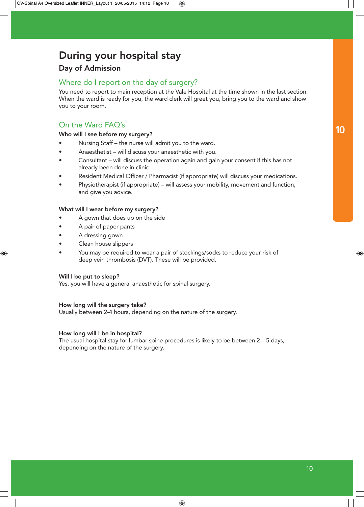## During your hospital stay

## Day of Admission

## Where do I report on the day of surgery?

You need to report to main reception at the Vale Hospital at the time shown in the last section. When the ward is ready for you, the ward clerk will greet you, bring you to the ward and show you to your room.

## On the Ward FAQ's

#### Who will I see before my surgery?

- Nursing Staff the nurse will admit you to the ward.
- Anaesthetist will discuss your anaesthetic with you.
- Consultant will discuss the operation again and gain your consent if this has not already been done in clinic.
- Resident Medical Officer / Pharmacist (if appropriate) will discuss your medications.
- Physiotherapist (if appropriate) will assess your mobility, movement and function, and give you advice.

#### What will I wear before my surgery?

- A gown that does up on the side
- A pair of paper pants
- A dressing gown
- Clean house slippers
- You may be required to wear a pair of stockings/socks to reduce your risk of deep vein thrombosis (DVT). These will be provided.

#### Will I be put to sleep?

Yes, you will have a general anaesthetic for spinal surgery.

#### How long will the surgery take?

Usually between 2-4 hours, depending on the nature of the surgery.

#### How long will I be in hospital?

The usual hospital stay for lumbar spine procedures is likely to be between 2 – 5 days, depending on the nature of the surgery.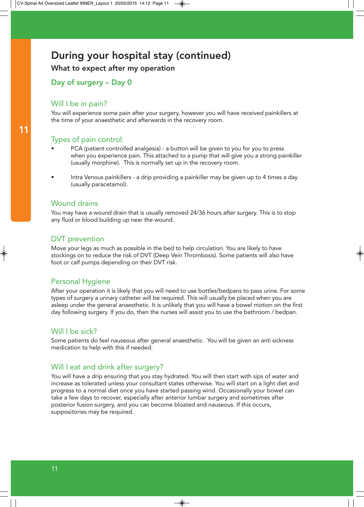## During your hospital stay (continued)

What to expect after my operation

Day of surgery – Day 0

## Will I be in pain?

You will experience some pain after your surgery, however you will have received painkillers at the time of your anaesthetic and afterwards in the recovery room.

## Types of pain control:

- PCA (patient controlled analgesia) a button will be given to you for you to press when you experience pain. This attached to a pump that will give you a strong painkiller (usually morphine). This is normally set up in the recovery room.
- Intra Venous painkillers a drip providing a painkiller may be given up to 4 times a day (usually paracetamol).

### Wound drains

You may have a wound drain that is usually removed 24/36 hours after surgery. This is to stop any fluid or blood building up near the wound.

### DVT prevention

Move your legs as much as possible in the bed to help circulation. You are likely to have stockings on to reduce the risk of DVT (Deep Vein Thrombosis). Some patients will also have foot or calf pumps depending on their DVT risk.

## Personal Hygiene

After your operation it is likely that you will need to use bottles/bedpans to pass urine. For some types of surgery a urinary catheter will be required. This will usually be placed when you are asleep under the general anaesthetic. It is unlikely that you will have a bowel motion on the first day following surgery. If you do, then the nurses will assist you to use the bathroom / bedpan.

### Will I be sick?

Some patients do feel nauseous after general anaesthetic. You will be given an anti sickness medication to help with this if needed.

## Will I eat and drink after surgery?

You will have a drip ensuring that you stay hydrated. You will then start with sips of water and increase as tolerated unless your consultant states otherwise. You will start on a light diet and progress to a normal diet once you have started passing wind. Occasionally your bowel can take a few days to recover, especially after anterior lumbar surgery and sometimes after posterior fusion surgery, and you can become bloated and nauseous. If this occurs, suppositories may be required.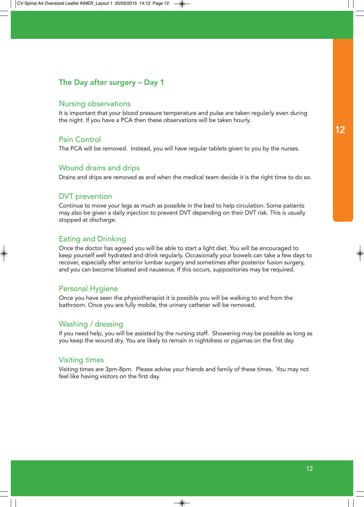## The Day after surgery – Day 1

#### Nursing observations

It is important that your blood pressure temperature and pulse are taken regularly even during the night. If you have a PCA then these observations will be taken hourly.

#### Pain Control

The PCA will be removed. Instead, you will have regular tablets given to you by the nurses.

#### Wound drains and drips

Drains and drips are removed as and when the medical team decide it is the right time to do so.

#### DVT prevention

Continue to move your legs as much as possible in the bed to help circulation. Some patients may also be given a daily injection to prevent DVT depending on their DVT risk. This is usually stopped at discharge.

### Eating and Drinking

Once the doctor has agreed you will be able to start a light diet. You will be encouraged to keep yourself well hydrated and drink regularly. Occasionally your bowels can take a few days to recover, especially after anterior lumbar surgery and sometimes after posterior fusion surgery, and you can become bloated and nauseous. If this occurs, suppositories may be required.

#### Personal Hygiene

Once you have seen the physiotherapist it is possible you will be walking to and from the bathroom. Once you are fully mobile, the urinary catheter will be removed.

### Washing / dressing

If you need help, you will be assisted by the nursing staff. Showering may be possible as long as you keep the wound dry. You are likely to remain in nightdress or pyjamas on the first day.

#### Visiting times

Visiting times are 3pm-8pm. Please advise your friends and family of these times. You may not feel like having visitors on the first day.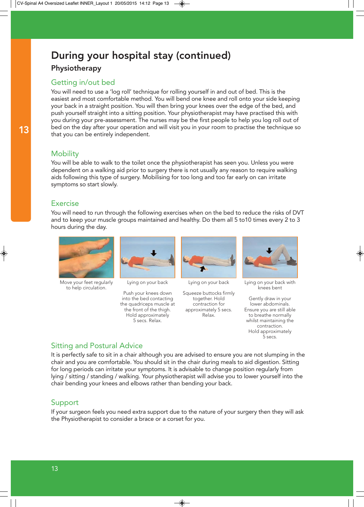## During your hospital stay (continued)

## Physiotherapy

## Getting in/out bed

You will need to use a 'log roll' technique for rolling yourself in and out of bed. This is the easiest and most comfortable method. You will bend one knee and roll onto your side keeping your back in a straight position. You will then bring your knees over the edge of the bed, and push yourself straight into a sitting position. Your physiotherapist may have practised this with you during your pre-assessment. The nurses may be the first people to help you log roll out of bed on the day after your operation and will visit you in your room to practise the technique so that you can be entirely independent.

## **Mobility**

You will be able to walk to the toilet once the physiotherapist has seen you. Unless you were dependent on a walking aid prior to surgery there is not usually any reason to require walking aids following this type of surgery. Mobilising for too long and too far early on can irritate symptoms so start slowly.

## Exercise

You will need to run through the following exercises when on the bed to reduce the risks of DVT and to keep your muscle groups maintained and healthy. Do them all 5 to10 times every 2 to 3 hours during the day.



Move your feet regularly to help circulation.



Lying on your back

Push your knees down into the bed contacting the quadriceps muscle at the front of the thigh. Hold approximately 5 secs. Relax.



Lying on your back

Squeeze buttocks firmly together. Hold contraction for approximately 5 secs. Relax.



Lying on your back with knees bent

Gently draw in your lower abdominals. Ensure you are still able to breathe normally whilst maintaining the contraction. Hold approximately 5 secs.

## Sitting and Postural Advice

It is perfectly safe to sit in a chair although you are advised to ensure you are not slumping in the chair and you are comfortable. You should sit in the chair during meals to aid digestion. Sitting for long periods can irritate your symptoms. It is advisable to change position regularly from lying / sitting / standing / walking. Your physiotherapist will advise you to lower yourself into the chair bending your knees and elbows rather than bending your back.

## Support

If your surgeon feels you need extra support due to the nature of your surgery then they will ask the Physiotherapist to consider a brace or a corset for you.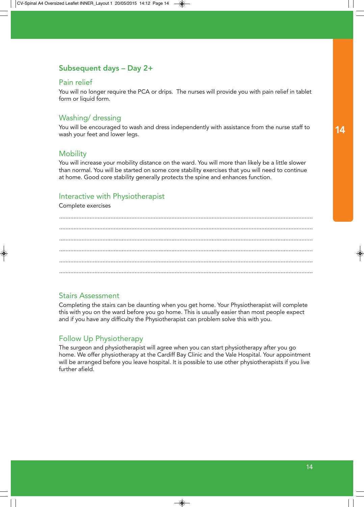## Subsequent days – Day 2+

#### Pain relief

You will no longer require the PCA or drips. The nurses will provide you with pain relief in tablet form or liquid form.

### Washing/ dressing

You will be encouraged to wash and dress independently with assistance from the nurse staff to wash your feet and lower legs.

#### **Mobility**

You will increase your mobility distance on the ward. You will more than likely be a little slower than normal. You will be started on some core stability exercises that you will need to continue at home. Good core stability generally protects the spine and enhances function.

#### Interactive with Physiotherapist

Complete exercises

#### Stairs Assessment

Completing the stairs can be daunting when you get home. Your Physiotherapist will complete this with you on the ward before you go home. This is usually easier than most people expect and if you have any difficulty the Physiotherapist can problem solve this with you.

### Follow Up Physiotherapy

The surgeon and physiotherapist will agree when you can start physiotherapy after you go home. We offer physiotherapy at the Cardiff Bay Clinic and the Vale Hospital. Your appointment will be arranged before you leave hospital. It is possible to use other physiotherapists if you live further afield.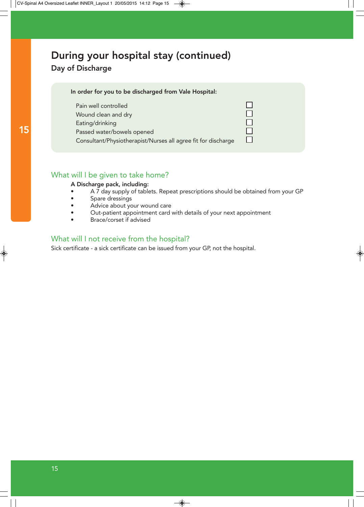## During your hospital stay (continued)

## Day of Discharge

| In order for you to be discharged from Vale Hospital:                                       |  |
|---------------------------------------------------------------------------------------------|--|
| Pain well controlled<br>Wound clean and dry<br>Eating/drinking                              |  |
| Passed water/bowels opened<br>Consultant/Physiotherapist/Nurses all agree fit for discharge |  |

#### What will I be given to take home?

#### A Discharge pack, including:

- A 7 day supply of tablets. Repeat prescriptions should be obtained from your GP
- Spare dressings
- Advice about your wound care
- Out-patient appointment card with details of your next appointment
- Brace/corset if advised

### What will I not receive from the hospital?

Sick certificate - a sick certificate can be issued from your GP, not the hospital.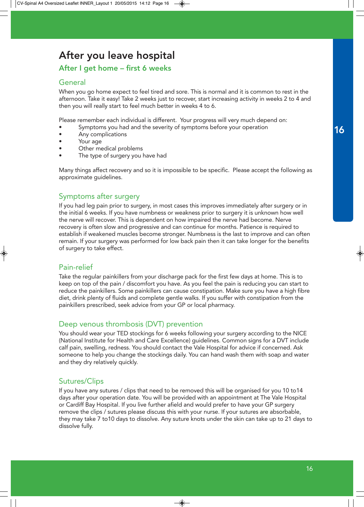## After you leave hospital

### After I get home – first 6 weeks

#### **General**

When you go home expect to feel tired and sore. This is normal and it is common to rest in the afternoon. Take it easy! Take 2 weeks just to recover, start increasing activity in weeks 2 to 4 and then you will really start to feel much better in weeks 4 to 6.

Please remember each individual is different. Your progress will very much depend on:

- Symptoms you had and the severity of symptoms before your operation
- Any complications
- Your age
- Other medical problems
- The type of surgery you have had

Many things affect recovery and so it is impossible to be specific. Please accept the following as approximate guidelines.

#### Symptoms after surgery

If you had leg pain prior to surgery, in most cases this improves immediately after surgery or in the initial 6 weeks. If you have numbness or weakness prior to surgery it is unknown how well the nerve will recover. This is dependent on how impaired the nerve had become. Nerve recovery is often slow and progressive and can continue for months. Patience is required to establish if weakened muscles become stronger. Numbness is the last to improve and can often remain. If your surgery was performed for low back pain then it can take longer for the benefits of surgery to take effect.

### Pain-relief

Take the regular painkillers from your discharge pack for the first few days at home. This is to keep on top of the pain / discomfort you have. As you feel the pain is reducing you can start to reduce the painkillers. Some painkillers can cause constipation. Make sure you have a high fibre diet, drink plenty of fluids and complete gentle walks. If you suffer with constipation from the painkillers prescribed, seek advice from your GP or local pharmacy.

### Deep venous thrombosis (DVT) prevention

You should wear your TED stockings for 6 weeks following your surgery according to the NICE (National Institute for Health and Care Excellence) guidelines. Common signs for a DVT include calf pain, swelling, redness. You should contact the Vale Hospital for advice if concerned. Ask someone to help you change the stockings daily. You can hand wash them with soap and water and they dry relatively quickly.

### Sutures/Clips

If you have any sutures / clips that need to be removed this will be organised for you 10 to14 days after your operation date. You will be provided with an appointment at The Vale Hospital or Cardiff Bay Hospital. If you live further afield and would prefer to have your GP surgery remove the clips / sutures please discuss this with your nurse. If your sutures are absorbable, they may take 7 to10 days to dissolve. Any suture knots under the skin can take up to 21 days to dissolve fully.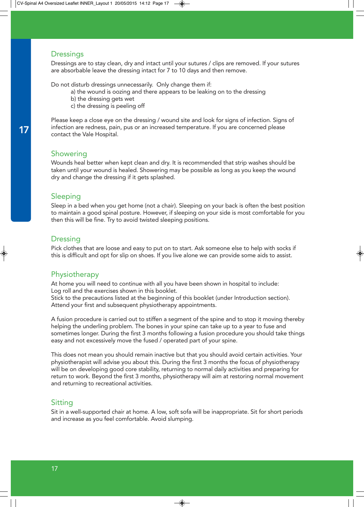#### **Dressings**

Dressings are to stay clean, dry and intact until your sutures / clips are removed. If your sutures are absorbable leave the dressing intact for 7 to 10 days and then remove.

Do not disturb dressings unnecessarily. Only change them if:

- a) the wound is oozing and there appears to be leaking on to the dressing
- b) the dressing gets wet
- c) the dressing is peeling off

Please keep a close eye on the dressing / wound site and look for signs of infection. Signs of infection are redness, pain, pus or an increased temperature. If you are concerned please contact the Vale Hospital.

#### **Showering**

Wounds heal better when kept clean and dry. It is recommended that strip washes should be taken until your wound is healed. Showering may be possible as long as you keep the wound dry and change the dressing if it gets splashed.

#### Sleeping

Sleep in a bed when you get home (not a chair). Sleeping on your back is often the best position to maintain a good spinal posture. However, if sleeping on your side is most comfortable for you then this will be fine. Try to avoid twisted sleeping positions.

#### **Dressing**

Pick clothes that are loose and easy to put on to start. Ask someone else to help with socks if this is difficult and opt for slip on shoes. If you live alone we can provide some aids to assist.

#### Physiotherapy

At home you will need to continue with all you have been shown in hospital to include: Log roll and the exercises shown in this booklet.

Stick to the precautions listed at the beginning of this booklet (under Introduction section). Attend your first and subsequent physiotherapy appointments.

A fusion procedure is carried out to stiffen a segment of the spine and to stop it moving thereby helping the underling problem. The bones in your spine can take up to a year to fuse and sometimes longer. During the first 3 months following a fusion procedure you should take things easy and not excessively move the fused / operated part of your spine.

This does not mean you should remain inactive but that you should avoid certain activities. Your physiotherapist will advise you about this. During the first 3 months the focus of physiotherapy will be on developing good core stability, returning to normal daily activities and preparing for return to work. Beyond the first 3 months, physiotherapy will aim at restoring normal movement and returning to recreational activities.

#### Sitting

Sit in a well-supported chair at home. A low, soft sofa will be inappropriate. Sit for short periods and increase as you feel comfortable. Avoid slumping.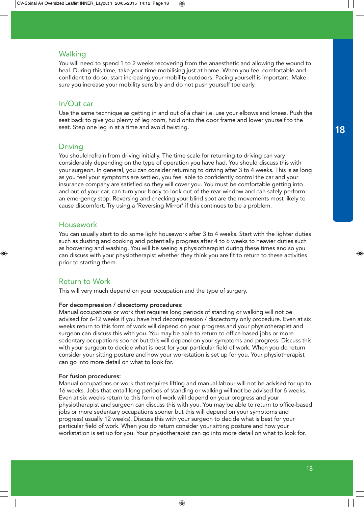#### Walking

You will need to spend 1 to 2 weeks recovering from the anaesthetic and allowing the wound to heal. During this time, take your time mobilising just at home. When you feel comfortable and confident to do so, start increasing your mobility outdoors. Pacing yourself is important. Make sure you increase your mobility sensibly and do not push yourself too early.

#### In/Out car

Use the same technique as getting in and out of a chair i.e. use your elbows and knees. Push the seat back to give you plenty of leg room, hold onto the door frame and lower yourself to the seat. Step one leg in at a time and avoid twisting.

#### **Driving**

You should refrain from driving initially. The time scale for returning to driving can vary considerably depending on the type of operation you have had. You should discuss this with your surgeon. In general, you can consider returning to driving after 3 to 4 weeks. This is as long as you feel your symptoms are settled, you feel able to confidently control the car and your insurance company are satisfied so they will cover you. You must be comfortable getting into and out of your car, can turn your body to look out of the rear window and can safely perform an emergency stop. Reversing and checking your blind spot are the movements most likely to cause discomfort. Try using a 'Reversing Mirror' if this continues to be a problem.

#### Housework

You can usually start to do some light housework after 3 to 4 weeks. Start with the lighter duties such as dusting and cooking and potentially progress after 4 to 6 weeks to heavier duties such as hoovering and washing. You will be seeing a physiotherapist during these times and so you can discuss with your physiotherapist whether they think you are fit to return to these activities prior to starting them.

#### Return to Work

This will very much depend on your occupation and the type of surgery.

#### For decompression / discectomy procedures:

Manual occupations or work that requires long periods of standing or walking will not be advised for 6-12 weeks if you have had decompression / discectomy only procedure. Even at six weeks return to this form of work will depend on your progress and your physiotherapist and surgeon can discuss this with you. You may be able to return to office based jobs or more sedentary occupations sooner but this will depend on your symptoms and progress. Discuss this with your surgeon to decide what is best for your particular field of work. When you do return consider your sitting posture and how your workstation is set up for you. Your physiotherapist can go into more detail on what to look for.

#### For fusion procedures:

Manual occupations or work that requires lifting and manual labour will not be advised for up to 16 weeks. Jobs that entail long periods of standing or walking will not be advised for 6 weeks. Even at six weeks return to this form of work will depend on your progress and your physiotherapist and surgeon can discuss this with you. You may be able to return to office-based jobs or more sedentary occupations sooner but this will depend on your symptoms and progress( usually 12 weeks). Discuss this with your surgeon to decide what is best for your particular field of work. When you do return consider your sitting posture and how your workstation is set up for you. Your physiotherapist can go into more detail on what to look for.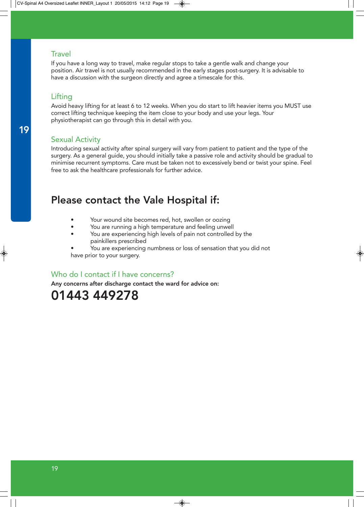#### **Travel**

If you have a long way to travel, make regular stops to take a gentle walk and change your position. Air travel is not usually recommended in the early stages post-surgery. It is advisable to have a discussion with the surgeon directly and agree a timescale for this.

### Lifting

Avoid heavy lifting for at least 6 to 12 weeks. When you do start to lift heavier items you MUST use correct lifting technique keeping the item close to your body and use your legs. Your physiotherapist can go through this in detail with you.

## Sexual Activity

Introducing sexual activity after spinal surgery will vary from patient to patient and the type of the surgery. As a general guide, you should initially take a passive role and activity should be gradual to minimise recurrent symptoms. Care must be taken not to excessively bend or twist your spine. Feel free to ask the healthcare professionals for further advice.

## Please contact the Vale Hospital if:

- Your wound site becomes red, hot, swollen or oozing
- You are running a high temperature and feeling unwell
- You are experiencing high levels of pain not controlled by the painkillers prescribed
- You are experiencing numbness or loss of sensation that you did not have prior to your surgery.

### Who do I contact if I have concerns?

Any concerns after discharge contact the ward for advice on:

## 01443 449278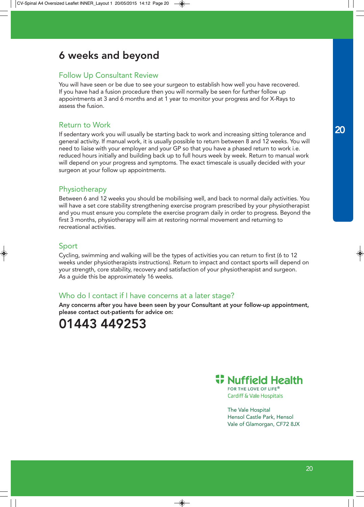## 6 weeks and beyond

### Follow Up Consultant Review

You will have seen or be due to see your surgeon to establish how well you have recovered. If you have had a fusion procedure then you will normally be seen for further follow up appointments at 3 and 6 months and at 1 year to monitor your progress and for X-Rays to assess the fusion.

#### Return to Work

If sedentary work you will usually be starting back to work and increasing sitting tolerance and general activity. If manual work, it is usually possible to return between 8 and 12 weeks. You will need to liaise with your employer and your GP so that you have a phased return to work i.e. reduced hours initially and building back up to full hours week by week. Return to manual work will depend on your progress and symptoms. The exact timescale is usually decided with your surgeon at your follow up appointments.

### **Physiotherapy**

Between 6 and 12 weeks you should be mobilising well, and back to normal daily activities. You will have a set core stability strengthening exercise program prescribed by your physiotherapist and you must ensure you complete the exercise program daily in order to progress. Beyond the first 3 months, physiotherapy will aim at restoring normal movement and returning to recreational activities.

### Sport

Cycling, swimming and walking will be the types of activities you can return to first (6 to 12 weeks under physiotherapists instructions). Return to impact and contact sports will depend on your strength, core stability, recovery and satisfaction of your physiotherapist and surgeon. As a guide this be approximately 16 weeks.

## Who do I contact if I have concerns at a later stage?

Any concerns after you have been seen by your Consultant at your follow-up appointment, please contact out-patients for advice on:

## 01443 449253



FOR THE LOVE OF LIFE® **Cardiff & Vale Hospitals** 

The Vale Hospital Hensol Castle Park, Hensol Vale of Glamorgan, CF72 8JX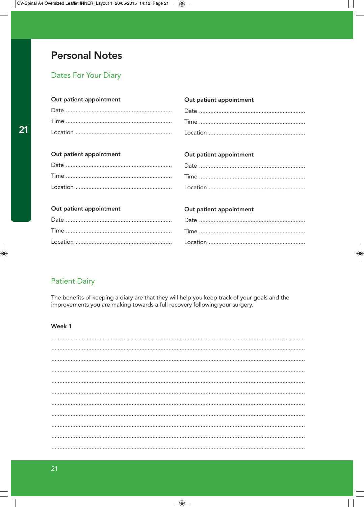## **Personal Notes**

## **Dates For Your Diary**

| Out patient appointment | Out patient appointment |
|-------------------------|-------------------------|
|                         |                         |
|                         |                         |
|                         |                         |
|                         |                         |
| Out patient appointment | Out patient appointment |
|                         |                         |
|                         |                         |
|                         |                         |
|                         |                         |
| Out patient appointment | Out patient appointment |
|                         |                         |
|                         |                         |
|                         |                         |
|                         |                         |

## **Patient Dairy**

The benefits of keeping a diary are that they will help you keep track of your goals and the improvements you are making towards a full recovery following your surgery.

### Week 1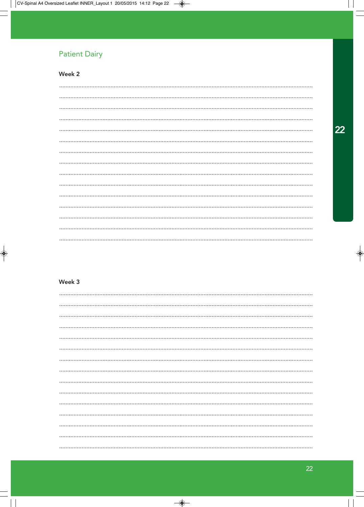## **Patient Dairy**

## Week 2

#### Week 3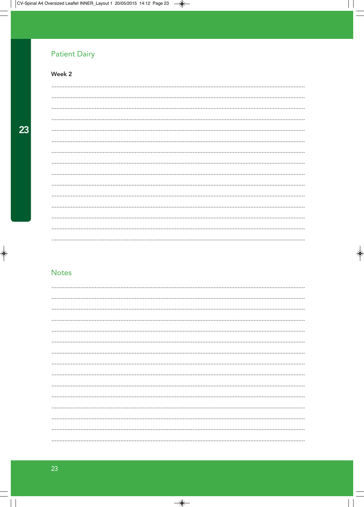## **Patient Dairy**

## Week 2

## **Notes**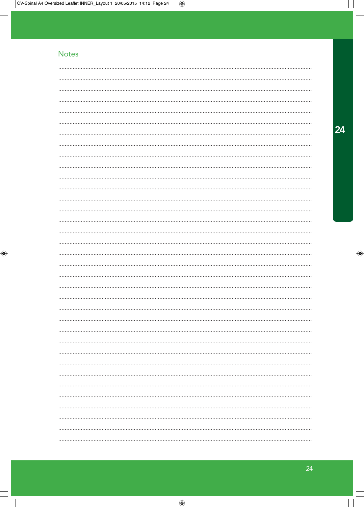## **Notes**